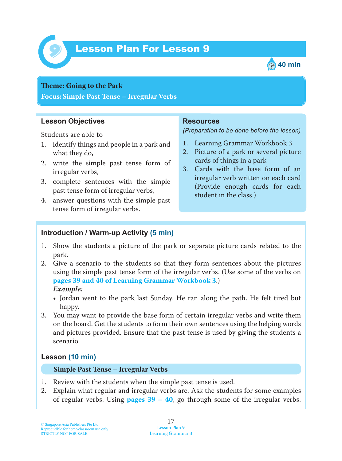

# Lesson Plan For Lesson 9 *9*



#### **Teme : Going to the Park**

**Focus: Simple Past Tense – Irregular Verbs**

## **Lesson Objectives**

Students are able to

- 1. identify things and people in a park and what they do,
- 2. write the simple past tense form of irregular verbs,
- 3. complete sentences with the simple past tense form of irregular verbs,
- 4. answer questions with the simple past tense form of irregular verbs.

#### **Resources**

*(Preparation to be done before the lesson)*

- 1. Learning Grammar Workbook 3
- 2. Picture of a park or several picture cards of things in a park
- 3. Cards with the base form of an irregular verb written on each card (Provide enough cards for each student in the class.)

## **Introduction / Warm-up Activity (5 min)**

- 1. Show the students a picture of the park or separate picture cards related to the park.
- 2. Give a scenario to the students so that they form sentences about the pictures using the simple past tense form of the irregular verbs. (Use some of the verbs on **pages 39 and 40 of Learning Grammar Workbook 3**.)  *Example:*
	- Jordan went to the park last Sunday. He ran along the path. He felt tired but happy.
- 3. You may want to provide the base form of certain irregular verbs and write them on the board. Get the students to form their own sentences using the helping words and pictures provided. Ensure that the past tense is used by giving the students a scenario.

## **Lesson (10 min)**

#### **Simple Past Tense – Irregular Verbs**

- 1. Review with the students when the simple past tense is used.
- 2. Explain what regular and irregular verbs are. Ask the students for some examples of regular verbs. Using **pages 39 – 40** , go through some of the irregular verbs.